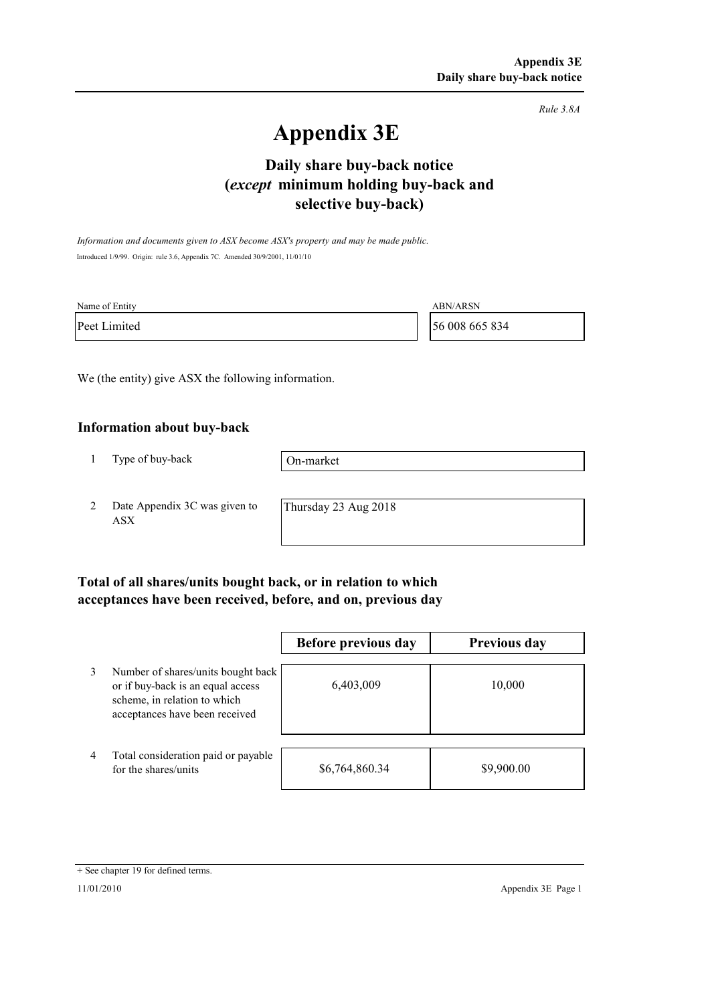*Rule 3.8A*

# **Appendix 3E**

# **selective buy-back) Daily share buy-back notice (***except* **minimum holding buy-back and**

*Information and documents given to ASX become ASX's property and may be made public.* Introduced 1/9/99. Origin: rule 3.6, Appendix 7C. Amended 30/9/2001, 11/01/10

| Name of Entity | <b>ABN/ARSN</b> |
|----------------|-----------------|
| Peet Limited   | 56 008 665 834  |

We (the entity) give ASX the following information.

#### **Information about buy-back**

1 Type of buy-back

On-market

2 Date Appendix 3C was given to ASX

Thursday 23 Aug 2018

### **Total of all shares/units bought back, or in relation to which acceptances have been received, before, and on, previous day**

|   |                                                                                                                                           | Before previous day | <b>Previous day</b> |
|---|-------------------------------------------------------------------------------------------------------------------------------------------|---------------------|---------------------|
| 3 | Number of shares/units bought back<br>or if buy-back is an equal access<br>scheme, in relation to which<br>acceptances have been received | 6,403,009           | 10,000              |
| 4 | Total consideration paid or payable<br>for the shares/units                                                                               | \$6,764,860.34      | \$9,900.00          |

<sup>+</sup> See chapter 19 for defined terms.